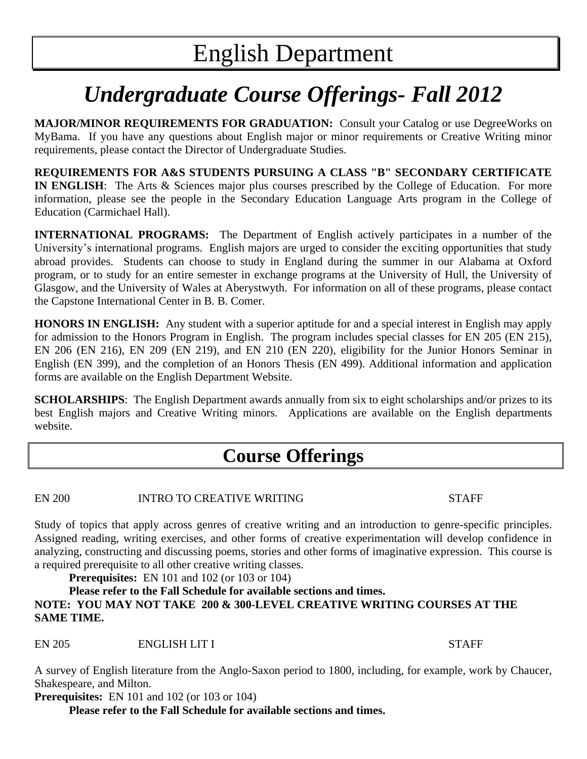# *Undergraduate Course Offerings- Fall 2012*

**MAJOR/MINOR REQUIREMENTS FOR GRADUATION:** Consult your Catalog or use DegreeWorks on MyBama. If you have any questions about English major or minor requirements or Creative Writing minor requirements, please contact the Director of Undergraduate Studies.

**REQUIREMENTS FOR A&S STUDENTS PURSUING A CLASS "B" SECONDARY CERTIFICATE IN ENGLISH**: The Arts & Sciences major plus courses prescribed by the College of Education. For more information, please see the people in the Secondary Education Language Arts program in the College of Education (Carmichael Hall).

**INTERNATIONAL PROGRAMS:** The Department of English actively participates in a number of the University's international programs. English majors are urged to consider the exciting opportunities that study abroad provides. Students can choose to study in England during the summer in our Alabama at Oxford program, or to study for an entire semester in exchange programs at the University of Hull, the University of Glasgow, and the University of Wales at Aberystwyth. For information on all of these programs, please contact the Capstone International Center in B. B. Comer.

**HONORS IN ENGLISH:** Any student with a superior aptitude for and a special interest in English may apply for admission to the Honors Program in English. The program includes special classes for EN 205 (EN 215), EN 206 (EN 216), EN 209 (EN 219), and EN 210 (EN 220), eligibility for the Junior Honors Seminar in English (EN 399), and the completion of an Honors Thesis (EN 499). Additional information and application forms are available on the English Department Website.

**SCHOLARSHIPS**: The English Department awards annually from six to eight scholarships and/or prizes to its best English majors and Creative Writing minors. Applications are available on the English departments website.

# **Course Offerings**

EN 200 INTRO TO CREATIVE WRITING STAFF

Study of topics that apply across genres of creative writing and an introduction to genre-specific principles. Assigned reading, writing exercises, and other forms of creative experimentation will develop confidence in analyzing, constructing and discussing poems, stories and other forms of imaginative expression. This course is a required prerequisite to all other creative writing classes.

**Prerequisites:** EN 101 and 102 (or 103 or 104)

# **Please refer to the Fall Schedule for available sections and times. NOTE: YOU MAY NOT TAKE 200 & 300-LEVEL CREATIVE WRITING COURSES AT THE SAME TIME.**

EN 205 ENGLISH LIT I STAFF

A survey of English literature from the Anglo-Saxon period to 1800, including, for example, work by Chaucer, Shakespeare, and Milton.

**Prerequisites:** EN 101 and 102 (or 103 or 104)

**Please refer to the Fall Schedule for available sections and times.**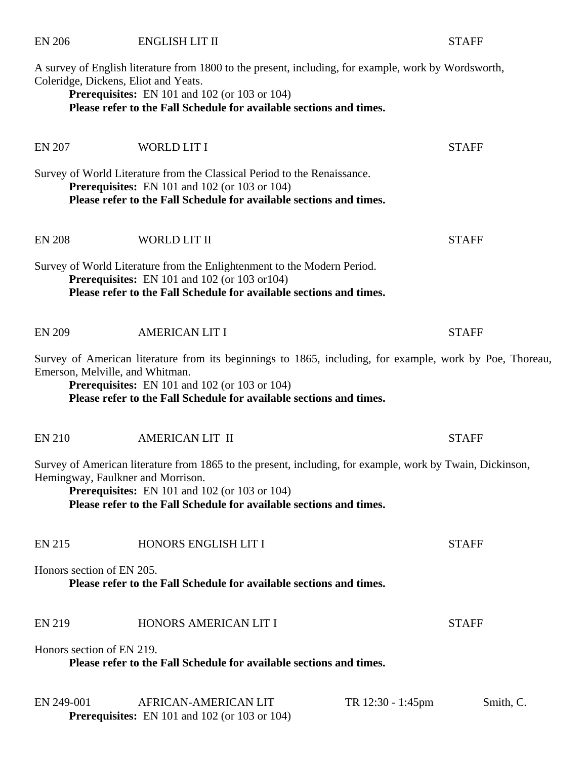A survey of English literature from 1800 to the present, including, for example, work by Wordsworth, Coleridge, Dickens, Eliot and Yeats. **Prerequisites:** EN 101 and 102 (or 103 or 104) **Please refer to the Fall Schedule for available sections and times.**  EN 207 WORLD LIT I STAFF Survey of World Literature from the Classical Period to the Renaissance. **Prerequisites:** EN 101 and 102 (or 103 or 104) **Please refer to the Fall Schedule for available sections and times.**  EN 208 WORLD LIT II STAFF Survey of World Literature from the Enlightenment to the Modern Period. **Prerequisites:** EN 101 and 102 (or 103 or104)

EN 206 ENGLISH LIT II STAFF

**Please refer to the Fall Schedule for available sections and times.** 

| <b>EN 209</b> | <b>AMERICAN LIT I</b> | <b>STAFF</b> |
|---------------|-----------------------|--------------|
|               |                       |              |

Survey of American literature from its beginnings to 1865, including, for example, work by Poe, Thoreau, Emerson, Melville, and Whitman.

**Prerequisites:** EN 101 and 102 (or 103 or 104) **Please refer to the Fall Schedule for available sections and times.** 

| <b>EN 210</b> | <b>AMERICAN LIT II</b> | STAFF |
|---------------|------------------------|-------|
|               |                        |       |

Survey of American literature from 1865 to the present, including, for example, work by Twain, Dickinson, Hemingway, Faulkner and Morrison.

**Prerequisites:** EN 101 and 102 (or 103 or 104) **Please refer to the Fall Schedule for available sections and times.** 

| <b>EN 215</b> | HONORS ENGLISH LIT I | STAFF |
|---------------|----------------------|-------|
|               |                      |       |

Honors section of EN 205.

**Please refer to the Fall Schedule for available sections and times.**

# EN 219 HONORS AMERICAN LIT I STAFF

Honors section of EN 219.

**Please refer to the Fall Schedule for available sections and times.**

| EN 249-001 | AFRICAN-AMERICAN LIT                                 | TR 12:30 - 1:45pm | Smith, C. |
|------------|------------------------------------------------------|-------------------|-----------|
|            | <b>Prerequisites:</b> EN 101 and 102 (or 103 or 104) |                   |           |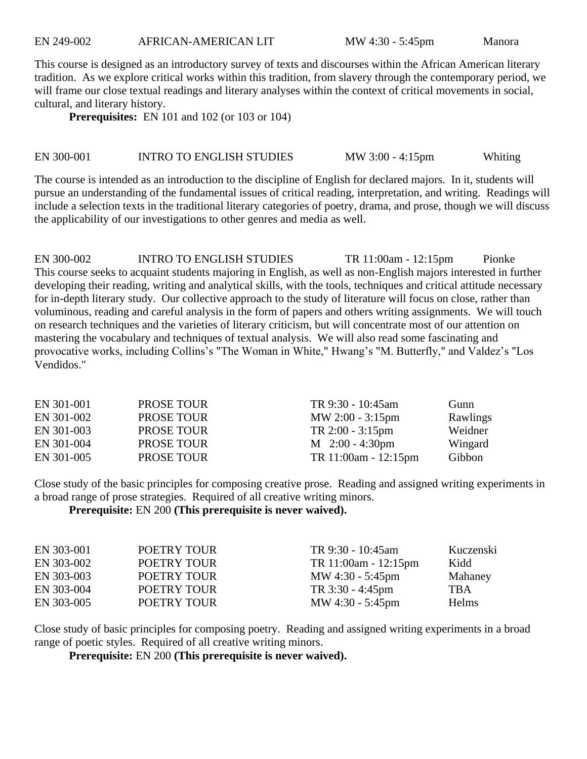EN 249-002 AFRICAN-AMERICAN LIT MW 4:30 - 5:45pm Manora

This course is designed as an introductory survey of texts and discourses within the African American literary tradition. As we explore critical works within this tradition, from slavery through the contemporary period, we will frame our close textual readings and literary analyses within the context of critical movements in social, cultural, and literary history.

**Prerequisites:** EN 101 and 102 (or 103 or 104)

#### EN 300-001 INTRO TO ENGLISH STUDIES MW 3:00 - 4:15pm Whiting

The course is intended as an introduction to the discipline of English for declared majors. In it, students will pursue an understanding of the fundamental issues of critical reading, interpretation, and writing. Readings will include a selection texts in the traditional literary categories of poetry, drama, and prose, though we will discuss the applicability of our investigations to other genres and media as well.

EN 300-002 INTRO TO ENGLISH STUDIES TR 11:00am - 12:15pm Pionke This course seeks to acquaint students majoring in English, as well as non-English majors interested in further developing their reading, writing and analytical skills, with the tools, techniques and critical attitude necessary for in-depth literary study. Our collective approach to the study of literature will focus on close, rather than voluminous, reading and careful analysis in the form of papers and others writing assignments. We will touch on research techniques and the varieties of literary criticism, but will concentrate most of our attention on mastering the vocabulary and techniques of textual analysis. We will also read some fascinating and provocative works, including Collins's "The Woman in White," Hwang's "M. Butterfly," and Valdez's "Los Vendidos."

| EN 301-001 | <b>PROSE TOUR</b> | TR 9:30 - 10:45am           | Gunn     |
|------------|-------------------|-----------------------------|----------|
| EN 301-002 | <b>PROSE TOUR</b> | $MW 2:00 - 3:15pm$          | Rawlings |
| EN 301-003 | <b>PROSE TOUR</b> | $TR 2:00 - 3:15 \text{pm}$  | Weidner  |
| EN 301-004 | <b>PROSE TOUR</b> | $M_{2:}00 - 4:30 \text{pm}$ | Wingard  |
| EN 301-005 | <b>PROSE TOUR</b> | TR $11:00am - 12:15pm$      | Gibbon   |

Close study of the basic principles for composing creative prose. Reading and assigned writing experiments in a broad range of prose strategies. Required of all creative writing minors.

**Prerequisite:** EN 200 **(This prerequisite is never waived).**

| EN 303-001 | POETRY TOUR | TR 9:30 - 10:45am          | Kuczenski  |
|------------|-------------|----------------------------|------------|
| EN 303-002 | POETRY TOUR | TR 11:00am - 12:15pm       | Kidd       |
| EN 303-003 | POETRY TOUR | MW 4:30 - 5:45pm           | Mahaney    |
| EN 303-004 | POETRY TOUR | $TR 3:30 - 4:45 \text{pm}$ | <b>TBA</b> |
| EN 303-005 | POETRY TOUR | MW $4:30 - 5:45 \text{pm}$ | Helms      |

Close study of basic principles for composing poetry. Reading and assigned writing experiments in a broad range of poetic styles. Required of all creative writing minors.

**Prerequisite:** EN 200 **(This prerequisite is never waived).**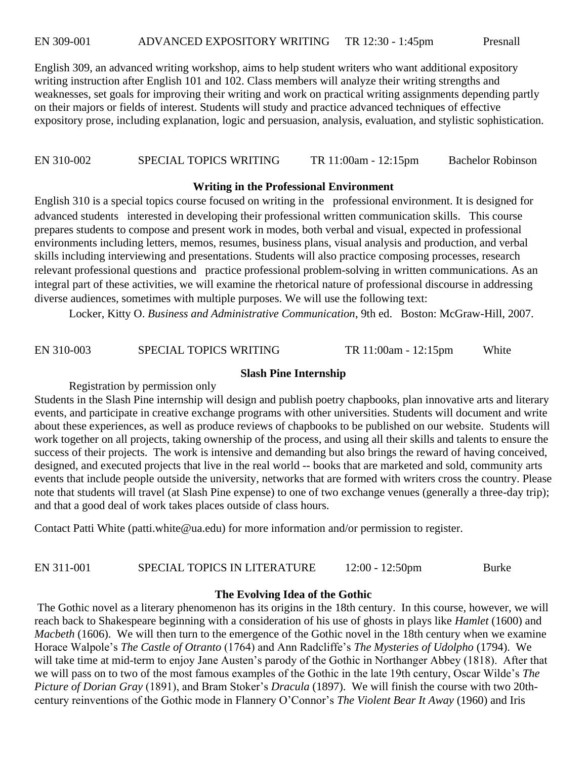EN 309-001 ADVANCED EXPOSITORY WRITING TR 12:30 - 1:45pm Presnall

English 309, an advanced writing workshop, aims to help student writers who want additional expository writing instruction after English 101 and 102. Class members will analyze their writing strengths and weaknesses, set goals for improving their writing and work on practical writing assignments depending partly on their majors or fields of interest. Students will study and practice advanced techniques of effective expository prose, including explanation, logic and persuasion, analysis, evaluation, and stylistic sophistication.

EN 310-002 SPECIAL TOPICS WRITING TR 11:00am - 12:15pm Bachelor Robinson

#### **Writing in the Professional Environment**

English 310 is a special topics course focused on writing in the professional environment. It is designed for advanced students interested in developing their professional written communication skills. This course prepares students to compose and present work in modes, both verbal and visual, expected in professional environments including letters, memos, resumes, business plans, visual analysis and production, and verbal skills including interviewing and presentations. Students will also practice composing processes, research relevant professional questions and practice professional problem-solving in written communications. As an integral part of these activities, we will examine the rhetorical nature of professional discourse in addressing diverse audiences, sometimes with multiple purposes. We will use the following text:

Locker, Kitty O. *Business and Administrative Communication*, 9th ed. Boston: McGraw-Hill, 2007.

EN 310-003 SPECIAL TOPICS WRITING TR 11:00am - 12:15pm White

#### **Slash Pine Internship**

Registration by permission only

Students in the Slash Pine internship will design and publish poetry chapbooks, plan innovative arts and literary events, and participate in creative exchange programs with other universities. Students will document and write about these experiences, as well as produce reviews of chapbooks to be published on our website. Students will work together on all projects, taking ownership of the process, and using all their skills and talents to ensure the success of their projects. The work is intensive and demanding but also brings the reward of having conceived, designed, and executed projects that live in the real world -- books that are marketed and sold, community arts events that include people outside the university, networks that are formed with writers cross the country. Please note that students will travel (at Slash Pine expense) to one of two exchange venues (generally a three-day trip); and that a good deal of work takes places outside of class hours.

Contact Patti White (patti.white@ua.edu) for more information and/or permission to register.

#### EN 311-001 SPECIAL TOPICS IN LITERATURE 12:00 - 12:50pm Burke

#### **The Evolving Idea of the Gothic**

The Gothic novel as a literary phenomenon has its origins in the 18th century. In this course, however, we will reach back to Shakespeare beginning with a consideration of his use of ghosts in plays like *Hamlet* (1600) and *Macbeth* (1606). We will then turn to the emergence of the Gothic novel in the 18th century when we examine Horace Walpole's *The Castle of Otranto* (1764) and Ann Radcliffe's *The Mysteries of Udolpho* (1794). We will take time at mid-term to enjoy Jane Austen's parody of the Gothic in Northanger Abbey (1818). After that we will pass on to two of the most famous examples of the Gothic in the late 19th century, Oscar Wilde's *The Picture of Dorian Gray* (1891), and Bram Stoker's *Dracula* (1897). We will finish the course with two 20thcentury reinventions of the Gothic mode in Flannery O'Connor's *The Violent Bear It Away* (1960) and Iris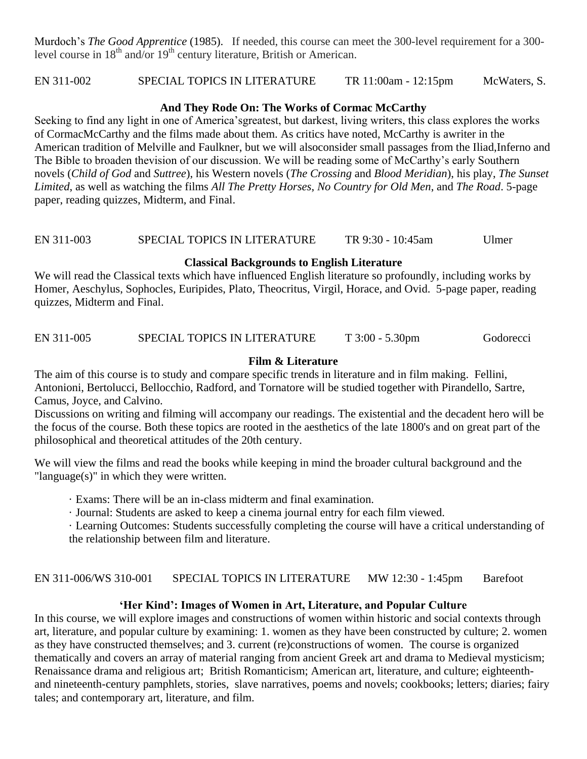Murdoch's *The Good Apprentice* (1985). If needed, this course can meet the 300-level requirement for a 300 level course in  $18<sup>th</sup>$  and/or  $19<sup>th</sup>$  century literature, British or American.

EN 311-002 SPECIAL TOPICS IN LITERATURE TR 11:00am - 12:15pm McWaters, S.

# **And They Rode On: The Works of Cormac McCarthy**

Seeking to find any light in one of America'sgreatest, but darkest, living writers, this class explores the works of CormacMcCarthy and the films made about them. As critics have noted, McCarthy is awriter in the American tradition of Melville and Faulkner, but we will alsoconsider small passages from the Iliad,Inferno and The Bible to broaden thevision of our discussion. We will be reading some of McCarthy's early Southern novels (*Child of God* and *Suttree*), his Western novels (*The Crossing* and *Blood Meridian*), his play, *The Sunset Limited*, as well as watching the films *All The Pretty Horses*, *No Country for Old Men*, and *The Road*. 5-page paper, reading quizzes, Midterm, and Final.

# EN 311-003 SPECIAL TOPICS IN LITERATURE TR 9:30 - 10:45am Ulmer

# **Classical Backgrounds to English Literature**

We will read the Classical texts which have influenced English literature so profoundly, including works by Homer, Aeschylus, Sophocles, Euripides, Plato, Theocritus, Virgil, Horace, and Ovid. 5-page paper, reading quizzes, Midterm and Final.

# EN 311-005 SPECIAL TOPICS IN LITERATURE T 3:00 - 5.30pm Godorecci

# **Film & Literature**

The aim of this course is to study and compare specific trends in literature and in film making. Fellini, Antonioni, Bertolucci, Bellocchio, Radford, and Tornatore will be studied together with Pirandello, Sartre, Camus, Joyce, and Calvino.

Discussions on writing and filming will accompany our readings. The existential and the decadent hero will be the focus of the course. Both these topics are rooted in the aesthetics of the late 1800's and on great part of the philosophical and theoretical attitudes of the 20th century.

We will view the films and read the books while keeping in mind the broader cultural background and the "language(s)" in which they were written.

· Exams: There will be an in-class midterm and final examination.

· Journal: Students are asked to keep a cinema journal entry for each film viewed.

· Learning Outcomes: Students successfully completing the course will have a critical understanding of

the relationship between film and literature.

EN 311-006/WS 310-001 SPECIAL TOPICS IN LITERATURE MW 12:30 - 1:45pm Barefoot

# **'Her Kind': Images of Women in Art, Literature, and Popular Culture**

In this course, we will explore images and constructions of women within historic and social contexts through art, literature, and popular culture by examining: 1. women as they have been constructed by culture; 2. women as they have constructed themselves; and 3. current (re)constructions of women. The course is organized thematically and covers an array of material ranging from ancient Greek art and drama to Medieval mysticism; Renaissance drama and religious art; British Romanticism; American art, literature, and culture; eighteenthand nineteenth-century pamphlets, stories, slave narratives, poems and novels; cookbooks; letters; diaries; fairy tales; and contemporary art, literature, and film.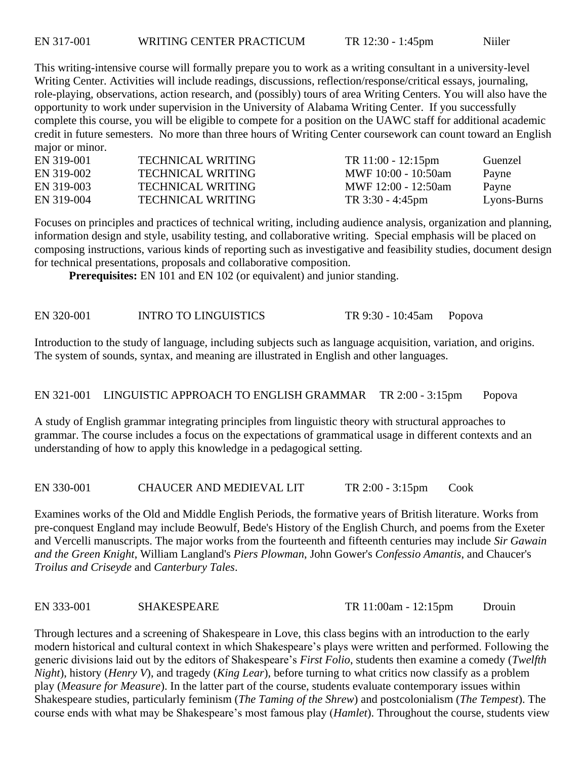This writing-intensive course will formally prepare you to work as a writing consultant in a university-level Writing Center. Activities will include readings, discussions, reflection/response/critical essays, journaling, role-playing, observations, action research, and (possibly) tours of area Writing Centers. You will also have the opportunity to work under supervision in the University of Alabama Writing Center. If you successfully complete this course, you will be eligible to compete for a position on the UAWC staff for additional academic credit in future semesters. No more than three hours of Writing Center coursework can count toward an English major or minor.

| EN 319-001 | <b>TECHNICAL WRITING</b> | $TR 11:00 - 12:15 \text{pm}$ | Guenzel     |
|------------|--------------------------|------------------------------|-------------|
| EN 319-002 | <b>TECHNICAL WRITING</b> | MWF 10:00 - 10:50am          | Payne       |
| EN 319-003 | <b>TECHNICAL WRITING</b> | MWF 12:00 - 12:50am          | Payne       |
| EN 319-004 | <b>TECHNICAL WRITING</b> | TR $3:30 - 4:45$ pm          | Lyons-Burns |

Focuses on principles and practices of technical writing, including audience analysis, organization and planning, information design and style, usability testing, and collaborative writing. Special emphasis will be placed on composing instructions, various kinds of reporting such as investigative and feasibility studies, document design for technical presentations, proposals and collaborative composition.

**Prerequisites:** EN 101 and EN 102 (or equivalent) and junior standing.

EN 320-001 INTRO TO LINGUISTICS TR 9:30 - 10:45am Popova

Introduction to the study of language, including subjects such as language acquisition, variation, and origins. The system of sounds, syntax, and meaning are illustrated in English and other languages.

# EN 321-001 LINGUISTIC APPROACH TO ENGLISH GRAMMAR TR 2:00 - 3:15pm Popova

A study of English grammar integrating principles from linguistic theory with structural approaches to grammar. The course includes a focus on the expectations of grammatical usage in different contexts and an understanding of how to apply this knowledge in a pedagogical setting.

EN 330-001 CHAUCER AND MEDIEVAL LIT TR 2:00 - 3:15pm Cook

Examines works of the Old and Middle English Periods, the formative years of British literature. Works from pre-conquest England may include Beowulf, Bede's History of the English Church, and poems from the Exeter and Vercelli manuscripts. The major works from the fourteenth and fifteenth centuries may include *Sir Gawain and the Green Knight*, William Langland's *Piers Plowman*, John Gower's *Confessio Amantis*, and Chaucer's *Troilus and Criseyde* and *Canterbury Tales*.

EN 333-001 SHAKESPEARE TR 11:00am - 12:15pm Drouin

Through lectures and a screening of Shakespeare in Love, this class begins with an introduction to the early modern historical and cultural context in which Shakespeare's plays were written and performed. Following the generic divisions laid out by the editors of Shakespeare's *First Folio*, students then examine a comedy (*Twelfth Night*), history (*Henry V*), and tragedy (*King Lear*), before turning to what critics now classify as a problem play (*Measure for Measure*). In the latter part of the course, students evaluate contemporary issues within Shakespeare studies, particularly feminism (*The Taming of the Shrew*) and postcolonialism (*The Tempest*). The course ends with what may be Shakespeare's most famous play (*Hamlet*). Throughout the course, students view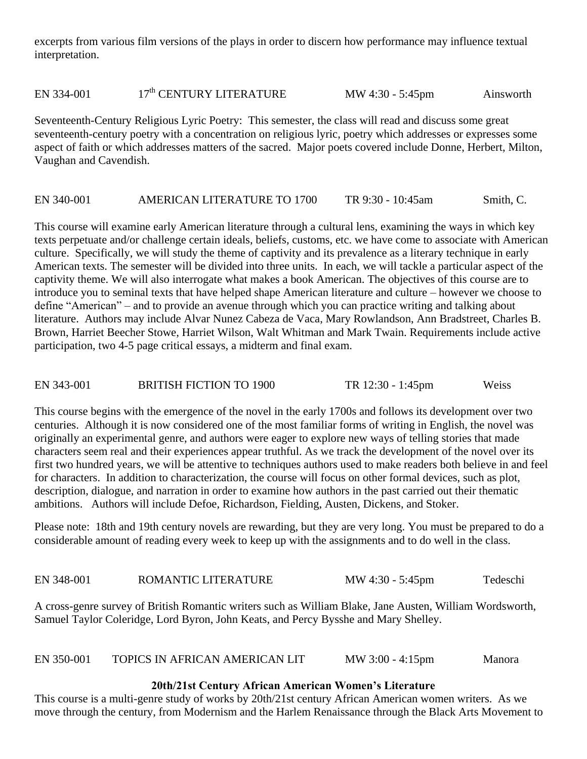excerpts from various film versions of the plays in order to discern how performance may influence textual interpretation.

EN 334-001  $17<sup>th</sup>$  CENTURY LITERATURE MW 4:30 - 5:45pm Ainsworth

Seventeenth-Century Religious Lyric Poetry: This semester, the class will read and discuss some great seventeenth-century poetry with a concentration on religious lyric, poetry which addresses or expresses some aspect of faith or which addresses matters of the sacred. Major poets covered include Donne, Herbert, Milton, Vaughan and Cavendish.

#### EN 340-001 AMERICAN LITERATURE TO 1700 TR 9:30 - 10:45am Smith, C.

This course will examine early American literature through a cultural lens, examining the ways in which key texts perpetuate and/or challenge certain ideals, beliefs, customs, etc. we have come to associate with American culture. Specifically, we will study the theme of captivity and its prevalence as a literary technique in early American texts. The semester will be divided into three units. In each, we will tackle a particular aspect of the captivity theme. We will also interrogate what makes a book American. The objectives of this course are to introduce you to seminal texts that have helped shape American literature and culture – however we choose to define "American" – and to provide an avenue through which you can practice writing and talking about literature. Authors may include Alvar Nunez Cabeza de Vaca, Mary Rowlandson, Ann Bradstreet, Charles B. Brown, Harriet Beecher Stowe, Harriet Wilson, Walt Whitman and Mark Twain. Requirements include active participation, two 4-5 page critical essays, a midterm and final exam.

EN 343-001 BRITISH FICTION TO 1900 TR 12:30 - 1:45pm Weiss

This course begins with the emergence of the novel in the early 1700s and follows its development over two centuries. Although it is now considered one of the most familiar forms of writing in English, the novel was originally an experimental genre, and authors were eager to explore new ways of telling stories that made characters seem real and their experiences appear truthful. As we track the development of the novel over its first two hundred years, we will be attentive to techniques authors used to make readers both believe in and feel for characters. In addition to characterization, the course will focus on other formal devices, such as plot, description, dialogue, and narration in order to examine how authors in the past carried out their thematic ambitions. Authors will include Defoe, Richardson, Fielding, Austen, Dickens, and Stoker.

Please note: 18th and 19th century novels are rewarding, but they are very long. You must be prepared to do a considerable amount of reading every week to keep up with the assignments and to do well in the class.

EN 348-001 ROMANTIC LITERATURE MW 4:30 - 5:45pm Tedeschi

A cross-genre survey of British Romantic writers such as William Blake, Jane Austen, William Wordsworth, Samuel Taylor Coleridge, Lord Byron, John Keats, and Percy Bysshe and Mary Shelley.

| TOPICS IN AFRICAN AMERICAN LIT<br>EN 350-001<br>$MW 3:00 - 4:15pm$ | Manora |
|--------------------------------------------------------------------|--------|
|--------------------------------------------------------------------|--------|

#### **20th/21st Century African American Women's Literature**

This course is a multi-genre study of works by 20th/21st century African American women writers. As we move through the century, from Modernism and the Harlem Renaissance through the Black Arts Movement to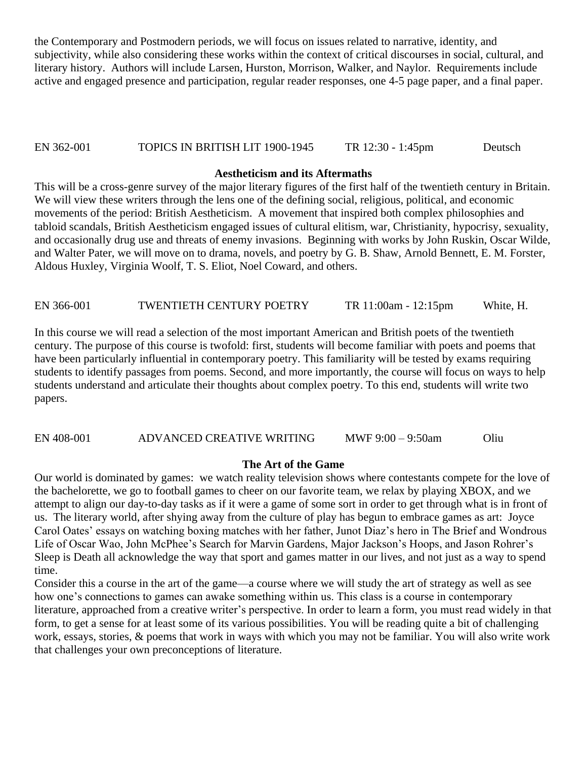the Contemporary and Postmodern periods, we will focus on issues related to narrative, identity, and subjectivity, while also considering these works within the context of critical discourses in social, cultural, and literary history. Authors will include Larsen, Hurston, Morrison, Walker, and Naylor. Requirements include active and engaged presence and participation, regular reader responses, one 4-5 page paper, and a final paper.

# EN 362-001 TOPICS IN BRITISH LIT 1900-1945 TR 12:30 - 1:45pm Deutsch

#### **Aestheticism and its Aftermaths**

This will be a cross-genre survey of the major literary figures of the first half of the twentieth century in Britain. We will view these writers through the lens one of the defining social, religious, political, and economic movements of the period: British Aestheticism. A movement that inspired both complex philosophies and tabloid scandals, British Aestheticism engaged issues of cultural elitism, war, Christianity, hypocrisy, sexuality, and occasionally drug use and threats of enemy invasions. Beginning with works by John Ruskin, Oscar Wilde, and Walter Pater, we will move on to drama, novels, and poetry by G. B. Shaw, Arnold Bennett, E. M. Forster, Aldous Huxley, Virginia Woolf, T. S. Eliot, Noel Coward, and others.

EN 366-001 TWENTIETH CENTURY POETRY TR 11:00am - 12:15pm White, H.

In this course we will read a selection of the most important American and British poets of the twentieth century. The purpose of this course is twofold: first, students will become familiar with poets and poems that have been particularly influential in contemporary poetry. This familiarity will be tested by exams requiring students to identify passages from poems. Second, and more importantly, the course will focus on ways to help students understand and articulate their thoughts about complex poetry. To this end, students will write two papers.

EN 408-001 ADVANCED CREATIVE WRITING MWF 9:00 – 9:50am Oliu

#### **The Art of the Game**

Our world is dominated by games: we watch reality television shows where contestants compete for the love of the bachelorette, we go to football games to cheer on our favorite team, we relax by playing XBOX, and we attempt to align our day-to-day tasks as if it were a game of some sort in order to get through what is in front of us. The literary world, after shying away from the culture of play has begun to embrace games as art: Joyce Carol Oates' essays on watching boxing matches with her father, Junot Diaz's hero in The Brief and Wondrous Life of Oscar Wao, John McPhee's Search for Marvin Gardens, Major Jackson's Hoops, and Jason Rohrer's Sleep is Death all acknowledge the way that sport and games matter in our lives, and not just as a way to spend time.

Consider this a course in the art of the game—a course where we will study the art of strategy as well as see how one's connections to games can awake something within us. This class is a course in contemporary literature, approached from a creative writer's perspective. In order to learn a form, you must read widely in that form, to get a sense for at least some of its various possibilities. You will be reading quite a bit of challenging work, essays, stories, & poems that work in ways with which you may not be familiar. You will also write work that challenges your own preconceptions of literature.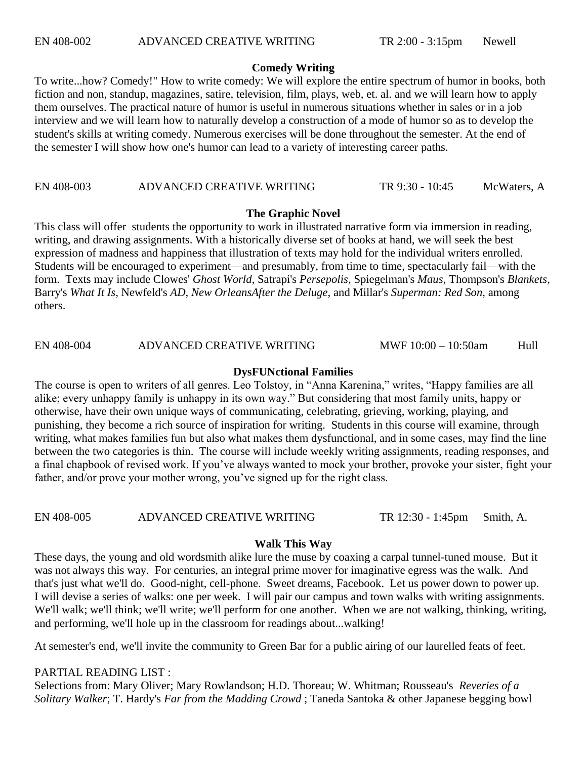#### **Comedy Writing**

To write...how? Comedy!" How to write comedy: We will explore the entire spectrum of humor in books, both fiction and non, standup, magazines, satire, television, film, plays, web, et. al. and we will learn how to apply them ourselves. The practical nature of humor is useful in numerous situations whether in sales or in a job interview and we will learn how to naturally develop a construction of a mode of humor so as to develop the student's skills at writing comedy. Numerous exercises will be done throughout the semester. At the end of the semester I will show how one's humor can lead to a variety of interesting career paths.

EN 408-003 ADVANCED CREATIVE WRITING TR 9:30 - 10:45 McWaters, A

# **The Graphic Novel**

This class will offer students the opportunity to work in illustrated narrative form via immersion in reading, writing, and drawing assignments. With a historically diverse set of books at hand, we will seek the best expression of madness and happiness that illustration of texts may hold for the individual writers enrolled. Students will be encouraged to experiment—and presumably, from time to time, spectacularly fail—with the form. Texts may include Clowes' *Ghost World*, Satrapi's *Persepolis*, Spiegelman's *Maus*, Thompson's *Blankets*, Barry's *What It Is*, Newfeld's *AD, New OrleansAfter the Deluge*, and Millar's *Superman: Red Son*, among others.

EN 408-004 ADVANCED CREATIVE WRITING MWF 10:00 – 10:50am Hull

# **DysFUNctional Families**

The course is open to writers of all genres. Leo Tolstoy, in "Anna Karenina," writes, "Happy families are all alike; every unhappy family is unhappy in its own way." But considering that most family units, happy or otherwise, have their own unique ways of communicating, celebrating, grieving, working, playing, and punishing, they become a rich source of inspiration for writing. Students in this course will examine, through writing, what makes families fun but also what makes them dysfunctional, and in some cases, may find the line between the two categories is thin. The course will include weekly writing assignments, reading responses, and a final chapbook of revised work. If you've always wanted to mock your brother, provoke your sister, fight your father, and/or prove your mother wrong, you've signed up for the right class.

EN 408-005 ADVANCED CREATIVE WRITING TR 12:30 - 1:45pm Smith, A.

# **Walk This Way**

These days, the young and old wordsmith alike lure the muse by coaxing a carpal tunnel-tuned mouse. But it was not always this way. For centuries, an integral prime mover for imaginative egress was the walk. And that's just what we'll do. Good-night, cell-phone. Sweet dreams, Facebook. Let us power down to power up. I will devise a series of walks: one per week. I will pair our campus and town walks with writing assignments. We'll walk; we'll think; we'll write; we'll perform for one another. When we are not walking, thinking, writing, and performing, we'll hole up in the classroom for readings about...walking!

At semester's end, we'll invite the community to Green Bar for a public airing of our laurelled feats of feet.

# PARTIAL READING LIST :

Selections from: Mary Oliver; Mary Rowlandson; H.D. Thoreau; W. Whitman; Rousseau's *Reveries of a Solitary Walker*; T. Hardy's *Far from the Madding Crowd* ; Taneda Santoka & other Japanese begging bowl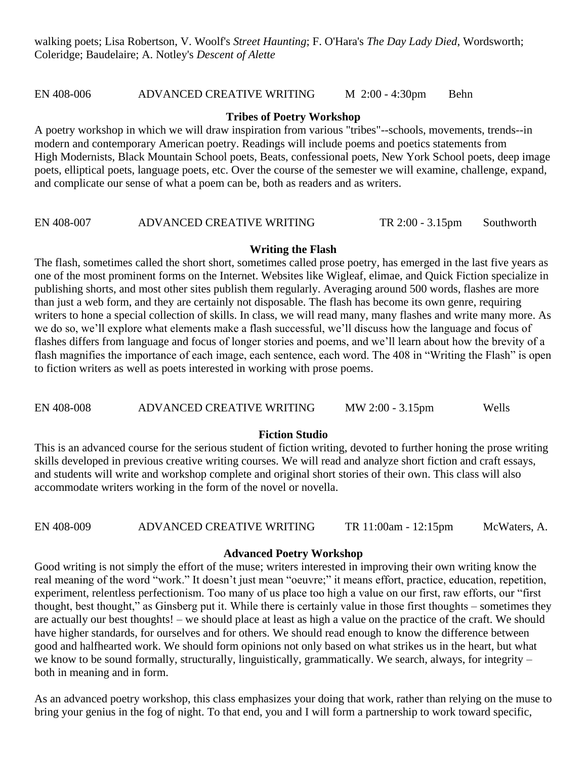EN 408-006 ADVANCED CREATIVE WRITING M 2:00 - 4:30pm Behn

#### **Tribes of Poetry Workshop**

A poetry workshop in which we will draw inspiration from various "tribes"--schools, movements, trends--in modern and contemporary American poetry. Readings will include poems and poetics statements from High Modernists, Black Mountain School poets, Beats, confessional poets, New York School poets, deep image poets, elliptical poets, language poets, etc. Over the course of the semester we will examine, challenge, expand, and complicate our sense of what a poem can be, both as readers and as writers.

# EN 408-007 ADVANCED CREATIVE WRITING TR 2:00 - 3.15pm Southworth

#### **Writing the Flash**

The flash, sometimes called the short short, sometimes called prose poetry, has emerged in the last five years as one of the most prominent forms on the Internet. Websites like Wigleaf, elimae, and Quick Fiction specialize in publishing shorts, and most other sites publish them regularly. Averaging around 500 words, flashes are more than just a web form, and they are certainly not disposable. The flash has become its own genre, requiring writers to hone a special collection of skills. In class, we will read many, many flashes and write many more. As we do so, we'll explore what elements make a flash successful, we'll discuss how the language and focus of flashes differs from language and focus of longer stories and poems, and we'll learn about how the brevity of a flash magnifies the importance of each image, each sentence, each word. The 408 in "Writing the Flash" is open to fiction writers as well as poets interested in working with prose poems.

#### EN 408-008 ADVANCED CREATIVE WRITING MW 2:00 - 3.15pm Wells

#### **Fiction Studio**

This is an advanced course for the serious student of fiction writing, devoted to further honing the prose writing skills developed in previous creative writing courses. We will read and analyze short fiction and craft essays, and students will write and workshop complete and original short stories of their own. This class will also accommodate writers working in the form of the novel or novella.

# EN 408-009 ADVANCED CREATIVE WRITING TR 11:00am - 12:15pm McWaters, A.

#### **Advanced Poetry Workshop**

Good writing is not simply the effort of the muse; writers interested in improving their own writing know the real meaning of the word "work." It doesn't just mean "oeuvre;" it means effort, practice, education, repetition, experiment, relentless perfectionism. Too many of us place too high a value on our first, raw efforts, our "first thought, best thought," as Ginsberg put it. While there is certainly value in those first thoughts – sometimes they are actually our best thoughts! – we should place at least as high a value on the practice of the craft. We should have higher standards, for ourselves and for others. We should read enough to know the difference between good and halfhearted work. We should form opinions not only based on what strikes us in the heart, but what we know to be sound formally, structurally, linguistically, grammatically. We search, always, for integrity – both in meaning and in form.

As an advanced poetry workshop, this class emphasizes your doing that work, rather than relying on the muse to bring your genius in the fog of night. To that end, you and I will form a partnership to work toward specific,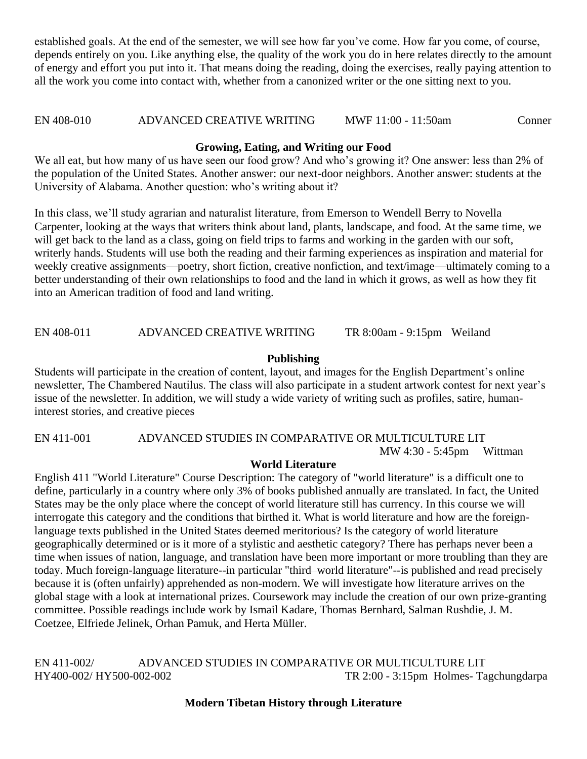established goals. At the end of the semester, we will see how far you've come. How far you come, of course, depends entirely on you. Like anything else, the quality of the work you do in here relates directly to the amount of energy and effort you put into it. That means doing the reading, doing the exercises, really paying attention to all the work you come into contact with, whether from a canonized writer or the one sitting next to you.

# EN 408-010 ADVANCED CREATIVE WRITING MWF 11:00 - 11:50am Conner

# **Growing, Eating, and Writing our Food**

We all eat, but how many of us have seen our food grow? And who's growing it? One answer: less than 2% of the population of the United States. Another answer: our next-door neighbors. Another answer: students at the University of Alabama. Another question: who's writing about it?

In this class, we'll study agrarian and naturalist literature, from Emerson to Wendell Berry to Novella Carpenter, looking at the ways that writers think about land, plants, landscape, and food. At the same time, we will get back to the land as a class, going on field trips to farms and working in the garden with our soft, writerly hands. Students will use both the reading and their farming experiences as inspiration and material for weekly creative assignments—poetry, short fiction, creative nonfiction, and text/image—ultimately coming to a better understanding of their own relationships to food and the land in which it grows, as well as how they fit into an American tradition of food and land writing.

EN 408-011 ADVANCED CREATIVE WRITING TR 8:00am - 9:15pm Weiland

# **Publishing**

Students will participate in the creation of content, layout, and images for the English Department's online newsletter, The Chambered Nautilus. The class will also participate in a student artwork contest for next year's issue of the newsletter. In addition, we will study a wide variety of writing such as profiles, satire, humaninterest stories, and creative pieces

EN 411-001 ADVANCED STUDIES IN COMPARATIVE OR MULTICULTURE LIT MW 4:30 - 5:45pm Wittman

# **World Literature**

English 411 "World Literature" Course Description: The category of "world literature" is a difficult one to define, particularly in a country where only 3% of books published annually are translated. In fact, the United States may be the only place where the concept of world literature still has currency. In this course we will interrogate this category and the conditions that birthed it. What is world literature and how are the foreignlanguage texts published in the United States deemed meritorious? Is the category of world literature geographically determined or is it more of a stylistic and aesthetic category? There has perhaps never been a time when issues of nation, language, and translation have been more important or more troubling than they are today. Much foreign-language literature--in particular "third–world literature"--is published and read precisely because it is (often unfairly) apprehended as non-modern. We will investigate how literature arrives on the global stage with a look at international prizes. Coursework may include the creation of our own prize-granting committee. Possible readings include work by Ismail Kadare, Thomas Bernhard, Salman Rushdie, J. M. Coetzee, Elfriede Jelinek, Orhan Pamuk, and Herta Müller.

EN 411-002/ ADVANCED STUDIES IN COMPARATIVE OR MULTICULTURE LIT HY400-002/ HY500-002-002 TR 2:00 - 3:15pm Holmes- Tagchungdarpa

# **Modern Tibetan History through Literature**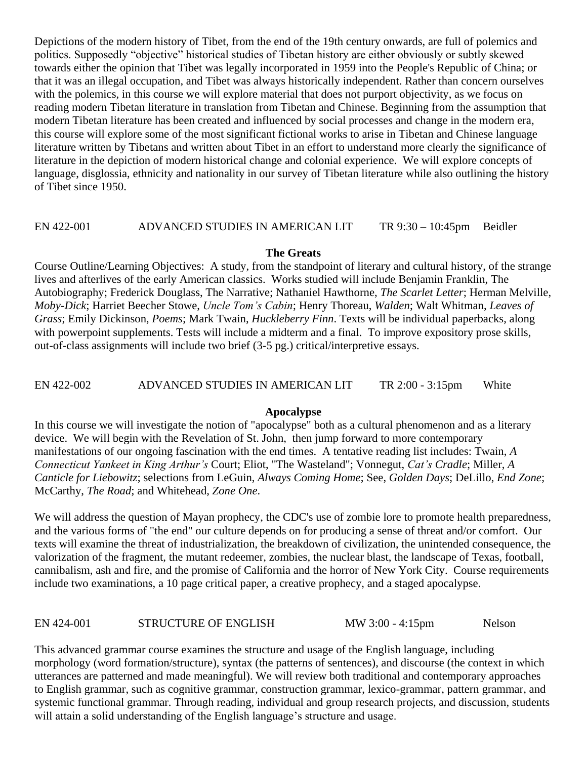Depictions of the modern history of Tibet, from the end of the 19th century onwards, are full of polemics and politics. Supposedly "objective" historical studies of Tibetan history are either obviously or subtly skewed towards either the opinion that Tibet was legally incorporated in 1959 into the People's Republic of China; or that it was an illegal occupation, and Tibet was always historically independent. Rather than concern ourselves with the polemics, in this course we will explore material that does not purport objectivity, as we focus on reading modern Tibetan literature in translation from Tibetan and Chinese. Beginning from the assumption that modern Tibetan literature has been created and influenced by social processes and change in the modern era, this course will explore some of the most significant fictional works to arise in Tibetan and Chinese language literature written by Tibetans and written about Tibet in an effort to understand more clearly the significance of literature in the depiction of modern historical change and colonial experience. We will explore concepts of language, disglossia, ethnicity and nationality in our survey of Tibetan literature while also outlining the history of Tibet since 1950.

#### EN 422-001 ADVANCED STUDIES IN AMERICAN LIT TR 9:30 – 10:45pm Beidler

#### **The Greats**

Course Outline/Learning Objectives: A study, from the standpoint of literary and cultural history, of the strange lives and afterlives of the early American classics. Works studied will include Benjamin Franklin, The Autobiography; Frederick Douglass, The Narrative; Nathaniel Hawthorne, *The Scarlet Letter*; Herman Melville, *Moby-Dick*; Harriet Beecher Stowe, *Uncle Tom's Cabin*; Henry Thoreau, *Walden*; Walt Whitman, *Leaves of Grass*; Emily Dickinson, *Poems*; Mark Twain, *Huckleberry Finn*. Texts will be individual paperbacks, along with powerpoint supplements. Tests will include a midterm and a final. To improve expository prose skills, out-of-class assignments will include two brief (3-5 pg.) critical/interpretive essays.

### EN 422-002 ADVANCED STUDIES IN AMERICAN LIT TR 2:00 - 3:15pm White

#### **Apocalypse**

In this course we will investigate the notion of "apocalypse" both as a cultural phenomenon and as a literary device. We will begin with the Revelation of St. John, then jump forward to more contemporary manifestations of our ongoing fascination with the end times. A tentative reading list includes: Twain, *A Connecticut Yankeet in King Arthur's* Court; Eliot, "The Wasteland"; Vonnegut, *Cat's Cradle*; Miller, *A Canticle for Liebowitz*; selections from LeGuin, *Always Coming Home*; See, *Golden Days*; DeLillo, *End Zone*; McCarthy, *The Road*; and Whitehead, *Zone One*.

We will address the question of Mayan prophecy, the CDC's use of zombie lore to promote health preparedness, and the various forms of "the end" our culture depends on for producing a sense of threat and/or comfort. Our texts will examine the threat of industrialization, the breakdown of civilization, the unintended consequence, the valorization of the fragment, the mutant redeemer, zombies, the nuclear blast, the landscape of Texas, football, cannibalism, ash and fire, and the promise of California and the horror of New York City. Course requirements include two examinations, a 10 page critical paper, a creative prophecy, and a staged apocalypse.

EN 424-001 STRUCTURE OF ENGLISH MW 3:00 - 4:15pm Nelson

This advanced grammar course examines the structure and usage of the English language, including morphology (word formation/structure), syntax (the patterns of sentences), and discourse (the context in which utterances are patterned and made meaningful). We will review both traditional and contemporary approaches to English grammar, such as cognitive grammar, construction grammar, lexico-grammar, pattern grammar, and systemic functional grammar. Through reading, individual and group research projects, and discussion, students will attain a solid understanding of the English language's structure and usage.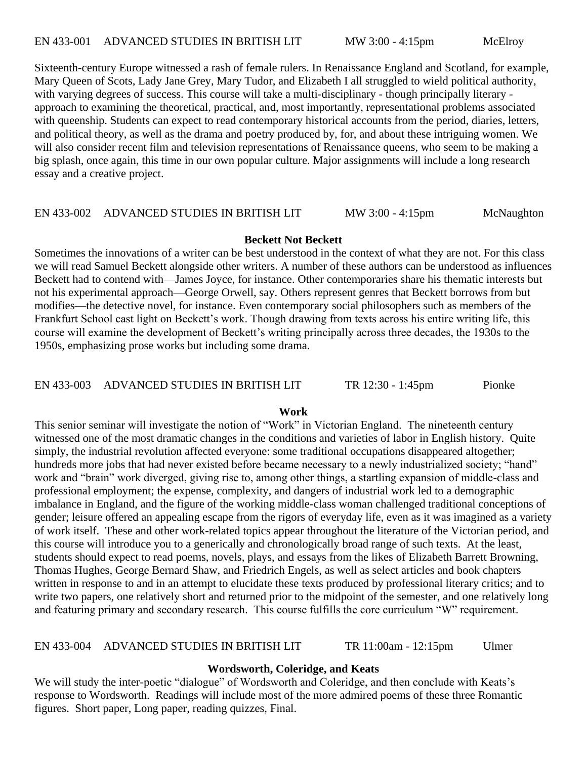Sixteenth-century Europe witnessed a rash of female rulers. In Renaissance England and Scotland, for example, Mary Queen of Scots, Lady Jane Grey, Mary Tudor, and Elizabeth I all struggled to wield political authority, with varying degrees of success. This course will take a multi-disciplinary - though principally literary approach to examining the theoretical, practical, and, most importantly, representational problems associated with queenship. Students can expect to read contemporary historical accounts from the period, diaries, letters, and political theory, as well as the drama and poetry produced by, for, and about these intriguing women. We will also consider recent film and television representations of Renaissance queens, who seem to be making a big splash, once again, this time in our own popular culture. Major assignments will include a long research essay and a creative project.

#### EN 433-002 ADVANCED STUDIES IN BRITISH LIT MW 3:00 - 4:15pm McNaughton

#### **Beckett Not Beckett**

Sometimes the innovations of a writer can be best understood in the context of what they are not. For this class we will read Samuel Beckett alongside other writers. A number of these authors can be understood as influences Beckett had to contend with—James Joyce, for instance. Other contemporaries share his thematic interests but not his experimental approach—George Orwell, say. Others represent genres that Beckett borrows from but modifies—the detective novel, for instance. Even contemporary social philosophers such as members of the Frankfurt School cast light on Beckett's work. Though drawing from texts across his entire writing life, this course will examine the development of Beckett's writing principally across three decades, the 1930s to the 1950s, emphasizing prose works but including some drama.

# EN 433-003 ADVANCED STUDIES IN BRITISH LIT TR 12:30 - 1:45pm Pionke

#### **Work**

This senior seminar will investigate the notion of "Work" in Victorian England. The nineteenth century witnessed one of the most dramatic changes in the conditions and varieties of labor in English history. Quite simply, the industrial revolution affected everyone: some traditional occupations disappeared altogether; hundreds more jobs that had never existed before became necessary to a newly industrialized society; "hand" work and "brain" work diverged, giving rise to, among other things, a startling expansion of middle-class and professional employment; the expense, complexity, and dangers of industrial work led to a demographic imbalance in England, and the figure of the working middle-class woman challenged traditional conceptions of gender; leisure offered an appealing escape from the rigors of everyday life, even as it was imagined as a variety of work itself. These and other work-related topics appear throughout the literature of the Victorian period, and this course will introduce you to a generically and chronologically broad range of such texts. At the least, students should expect to read poems, novels, plays, and essays from the likes of Elizabeth Barrett Browning, Thomas Hughes, George Bernard Shaw, and Friedrich Engels, as well as select articles and book chapters written in response to and in an attempt to elucidate these texts produced by professional literary critics; and to write two papers, one relatively short and returned prior to the midpoint of the semester, and one relatively long and featuring primary and secondary research. This course fulfills the core curriculum "W" requirement.

EN 433-004 ADVANCED STUDIES IN BRITISH LIT TR 11:00am - 12:15pm Ulmer

#### **Wordsworth, Coleridge, and Keats**

We will study the inter-poetic "dialogue" of Wordsworth and Coleridge, and then conclude with Keats's response to Wordsworth. Readings will include most of the more admired poems of these three Romantic figures. Short paper, Long paper, reading quizzes, Final.